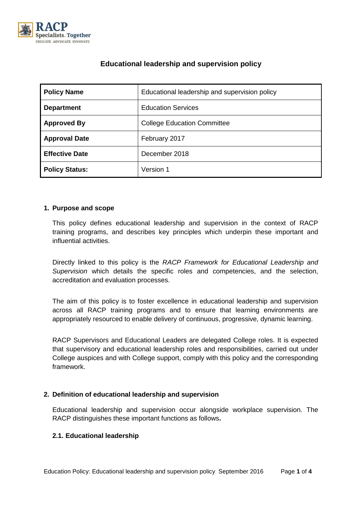

# **Educational leadership and supervision policy**

| <b>Policy Name</b>    | Educational leadership and supervision policy |  |  |
|-----------------------|-----------------------------------------------|--|--|
| <b>Department</b>     | <b>Education Services</b>                     |  |  |
| <b>Approved By</b>    | <b>College Education Committee</b>            |  |  |
| <b>Approval Date</b>  | February 2017                                 |  |  |
| <b>Effective Date</b> | December 2018                                 |  |  |
| <b>Policy Status:</b> | Version 1                                     |  |  |

#### **1. Purpose and scope**

This policy defines educational leadership and supervision in the context of RACP training programs, and describes key principles which underpin these important and influential activities.

Directly linked to this policy is the *RACP Framework for Educational Leadership and Supervision* which details the specific roles and competencies, and the selection, accreditation and evaluation processes.

The aim of this policy is to foster excellence in educational leadership and supervision across all RACP training programs and to ensure that learning environments are appropriately resourced to enable delivery of continuous, progressive, dynamic learning.

RACP Supervisors and Educational Leaders are delegated College roles. It is expected that supervisory and educational leadership roles and responsibilities, carried out under College auspices and with College support, comply with this policy and the corresponding framework.

# **2. Definition of educational leadership and supervision**

Educational leadership and supervision occur alongside workplace supervision. The RACP distinguishes these important functions as follows**.**

# **2.1. Educational leadership**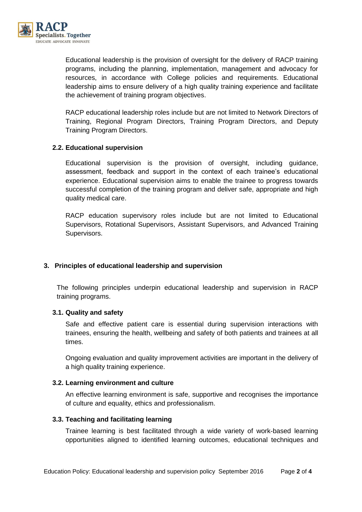

Educational leadership is the provision of oversight for the delivery of RACP training programs, including the planning, implementation, management and advocacy for resources, in accordance with College policies and requirements. Educational leadership aims to ensure delivery of a high quality training experience and facilitate the achievement of training program objectives.

RACP educational leadership roles include but are not limited to Network Directors of Training, Regional Program Directors, Training Program Directors, and Deputy Training Program Directors.

# **2.2. Educational supervision**

Educational supervision is the provision of oversight, including guidance, assessment, feedback and support in the context of each trainee's educational experience. Educational supervision aims to enable the trainee to progress towards successful completion of the training program and deliver safe, appropriate and high quality medical care.

RACP education supervisory roles include but are not limited to Educational Supervisors, Rotational Supervisors, Assistant Supervisors, and Advanced Training Supervisors.

# **3. Principles of educational leadership and supervision**

The following principles underpin educational leadership and supervision in RACP training programs.

# **3.1. Quality and safety**

Safe and effective patient care is essential during supervision interactions with trainees, ensuring the health, wellbeing and safety of both patients and trainees at all times.

Ongoing evaluation and quality improvement activities are important in the delivery of a high quality training experience.

# **3.2. Learning environment and culture**

An effective learning environment is safe, supportive and recognises the importance of culture and equality, ethics and professionalism.

# **3.3. Teaching and facilitating learning**

Trainee learning is best facilitated through a wide variety of work-based learning opportunities aligned to identified learning outcomes, educational techniques and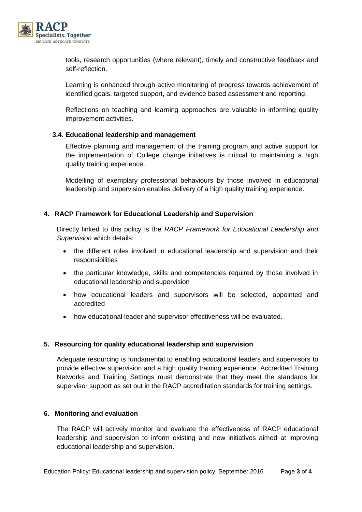

tools, research opportunities (where relevant), timely and constructive feedback and self-reflection.

Learning is enhanced through active monitoring of progress towards achievement of identified goals, targeted support, and evidence based assessment and reporting.

Reflections on teaching and learning approaches are valuable in informing quality improvement activities.

# **3.4. Educational leadership and management**

Effective planning and management of the training program and active support for the implementation of College change initiatives is critical to maintaining a high quality training experience.

Modelling of exemplary professional behaviours by those involved in educational leadership and supervision enables delivery of a high quality training experience.

#### **4. RACP Framework for Educational Leadership and Supervision**

Directly linked to this policy is the *RACP Framework for Educational Leadership and Supervision* which details:

- the different roles involved in educational leadership and supervision and their responsibilities
- the particular knowledge, skills and competencies required by those involved in educational leadership and supervision
- how educational leaders and supervisors will be selected, appointed and accredited
- how educational leader and supervisor effectiveness will be evaluated.

# **5. Resourcing for quality educational leadership and supervision**

Adequate resourcing is fundamental to enabling educational leaders and supervisors to provide effective supervision and a high quality training experience. Accredited Training Networks and Training Settings must demonstrate that they meet the standards for supervisor support as set out in the RACP accreditation standards for training settings*.*

#### **6. Monitoring and evaluation**

The RACP will actively monitor and evaluate the effectiveness of RACP educational leadership and supervision to inform existing and new initiatives aimed at improving educational leadership and supervision.